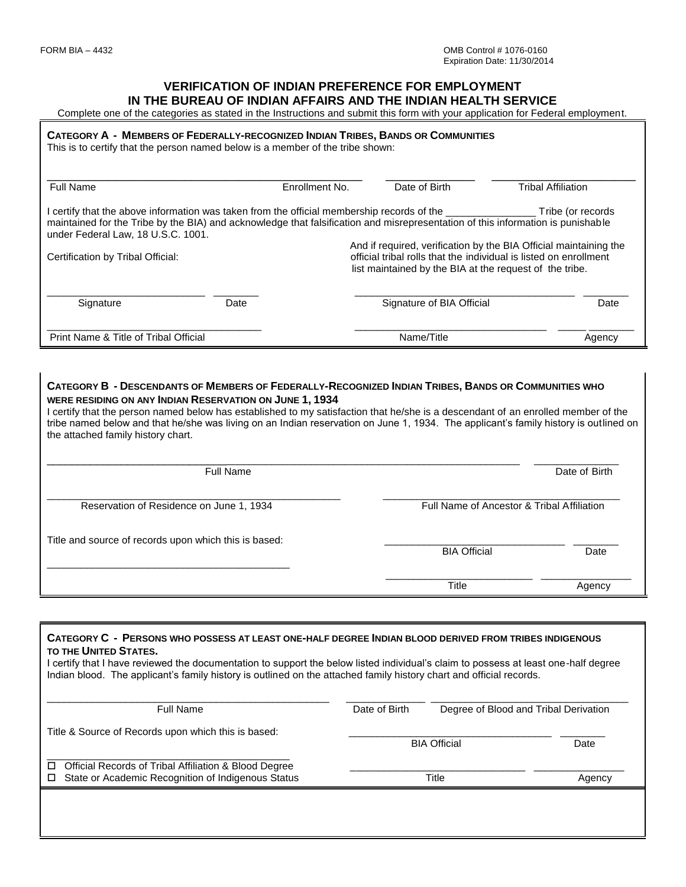#### **VERIFICATION OF INDIAN PREFERENCE FOR EMPLOYMENT IN THE BUREAU OF INDIAN AFFAIRS AND THE INDIAN HEALTH SERVICE**

Complete one of the categories as stated in the Instructions and submit this form with your application for Federal employment.

#### CATEGORY A - MEMBERS OF FEDERALLY-RECOGNIZED INDIAN TRIBES, BANDS OR COMMUNITIES

This is to certify that the person named below is a member of the tribe shown:

| Full Name                                                                                                                                                                                                                                                                    |      | Enrollment No. | Date of Birth                                                                                                                                                                                     | <b>Tribal Affiliation</b> |  |  |
|------------------------------------------------------------------------------------------------------------------------------------------------------------------------------------------------------------------------------------------------------------------------------|------|----------------|---------------------------------------------------------------------------------------------------------------------------------------------------------------------------------------------------|---------------------------|--|--|
| l certify that the above information was taken from the official membership records of the ________<br>maintained for the Tribe by the BIA) and acknowledge that falsification and misrepresentation of this information is punishable<br>under Federal Law, 18 U.S.C. 1001. |      |                |                                                                                                                                                                                                   | Tribe (or records         |  |  |
| Certification by Tribal Official:                                                                                                                                                                                                                                            |      |                | And if required, verification by the BIA Official maintaining the<br>official tribal rolls that the individual is listed on enrollment<br>list maintained by the BIA at the request of the tribe. |                           |  |  |
| Signature                                                                                                                                                                                                                                                                    | Date |                | Signature of BIA Official                                                                                                                                                                         | Date                      |  |  |
| Print Name & Title of Tribal Official                                                                                                                                                                                                                                        |      |                | Name/Title                                                                                                                                                                                        | Agency                    |  |  |

#### CATEGORY B - DESCENDANTS OF MEMBERS OF FEDERALLY-RECOGNIZED INDIAN TRIBES, BANDS OR COMMUNITIES WHO **WERE RESIDING ON ANY INDIAN RESERVATION ON JUNE 1, 1934**

I certify that the person named below has established to my satisfaction that he/she is a descendant of an enrolled member of the tribe named below and that he/she was living on an Indian reservation on June 1, 1934. The applicant's family history is outlined on the attached family history chart.

| <b>Full Name</b>                                      |                                            | Date of Birth |  |
|-------------------------------------------------------|--------------------------------------------|---------------|--|
| Reservation of Residence on June 1, 1934              | Full Name of Ancestor & Tribal Affiliation |               |  |
| Title and source of records upon which this is based: | <b>BIA Official</b>                        |               |  |
|                                                       | Title                                      | Agency        |  |

# **CATEGORY C - PERSONS WHO POSSESS AT LEAST ONE-HALF DEGREE INDIAN BLOOD DERIVED FROM TRIBES INDIGENOUS TO THE UNITED STATES.** I certify that I have reviewed the documentation to support the below listed individual's claim to possess at least one-half degree Indian blood. The applicant's family history is outlined on the attached family history chart and official records. \_\_\_\_\_\_\_\_\_\_\_\_\_\_\_\_\_\_\_\_\_\_\_\_\_\_\_\_\_\_\_\_\_\_\_\_\_\_\_\_\_\_\_\_\_\_\_\_\_\_ \_\_\_\_\_\_\_\_\_\_\_\_\_\_ \_\_\_\_\_\_\_\_\_\_\_\_\_\_\_\_\_\_\_\_\_\_\_\_\_\_\_\_\_\_\_\_\_\_\_ Full Name Date of Birth Degree of Blood and Tribal Derivation Title & Source of Records upon which this is based: enter and the control of the BIA Official Date of the Date of the Date of the Date of the Date of the Date of the Date of the Date of the Date of the Date of the Date of the Date of the Date of the Date of the Date of the \_\_\_\_\_\_\_\_\_\_\_\_\_\_\_\_\_\_\_\_\_\_\_\_\_\_\_\_\_\_\_\_\_\_\_\_\_\_\_\_\_\_\_ □ Official Records of Tribal Affiliation & Blood Degree □ State or Academic Recognition of Indigenous Status Title Title Title Agency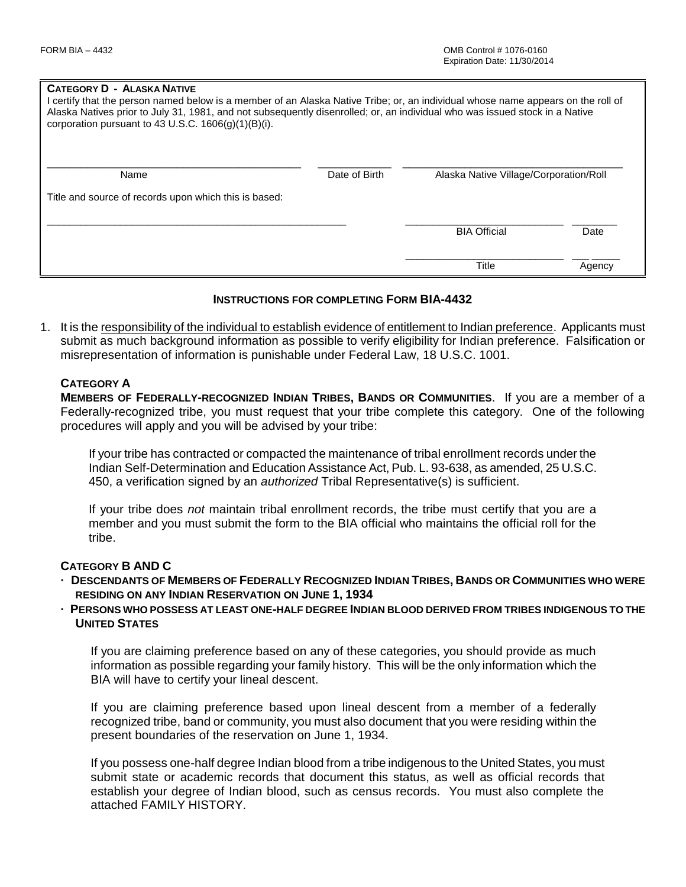#### **CATEGORY D - ALASKA NATIVE**

| I certify that the person named below is a member of an Alaska Native Tribe; or, an individual whose name appears on the roll of<br>Alaska Natives prior to July 31, 1981, and not subsequently disenrolled; or, an individual who was issued stock in a Native<br>corporation pursuant to 43 U.S.C. $1606(q)(1)(B)(i)$ . |               |                                        |        |  |  |  |
|---------------------------------------------------------------------------------------------------------------------------------------------------------------------------------------------------------------------------------------------------------------------------------------------------------------------------|---------------|----------------------------------------|--------|--|--|--|
| Name                                                                                                                                                                                                                                                                                                                      | Date of Birth | Alaska Native Village/Corporation/Roll |        |  |  |  |
| Title and source of records upon which this is based:                                                                                                                                                                                                                                                                     |               |                                        |        |  |  |  |
|                                                                                                                                                                                                                                                                                                                           |               | <b>BIA Official</b>                    | Date   |  |  |  |
|                                                                                                                                                                                                                                                                                                                           |               | <b>Title</b>                           | Agency |  |  |  |

## **INSTRUCTIONS FOR COMPLETING FORM BIA-4432**

1. It is the responsibility of the individual to establish evidence of entitlement to Indian preference. Applicants must submit as much background information as possible to verify eligibility for Indian preference. Falsification or misrepresentation of information is punishable under Federal Law, 18 U.S.C. 1001.

## **CATEGORY A**

**MEMBERS OF FEDERALLY-RECOGNIZED INDIAN TRIBES, BANDS OR COMMUNITIES**. If you are a member of a Federally-recognized tribe, you must request that your tribe complete this category. One of the following procedures will apply and you will be advised by your tribe:

If your tribe has contracted or compacted the maintenance of tribal enrollment records under the Indian Self-Determination and Education Assistance Act, Pub. L. 93-638, as amended, 25 U.S.C. 450, a verification signed by an *authorized* Tribal Representative(s) is sufficient.

If your tribe does *not* maintain tribal enrollment records, the tribe must certify that you are a member and you must submit the form to the BIA official who maintains the official roll for the tribe.

## **CATEGORY B AND C**

- DESCENDANTS OF MEMBERS OF FEDERALLY RECOGNIZED INDIAN TRIBES, BANDS OR COMMUNITIES WHO WERE **RESIDING ON ANY INDIAN RESERVATION ON JUNE 1, 1934**
- **· PERSONS WHO POSSESS AT LEAST ONE-HALF DEGREE INDIAN BLOOD DERIVED FROM TRIBES INDIGENOUS TO THE UNITED STATES**

If you are claiming preference based on any of these categories, you should provide as much information as possible regarding your family history. This will be the only information which the BIA will have to certify your lineal descent.

If you are claiming preference based upon lineal descent from a member of a federally recognized tribe, band or community, you must also document that you were residing within the present boundaries of the reservation on June 1, 1934.

If you possess one-half degree Indian blood from a tribe indigenous to the United States, you must submit state or academic records that document this status, as well as official records that establish your degree of Indian blood, such as census records. You must also complete the attached FAMILY HISTORY.